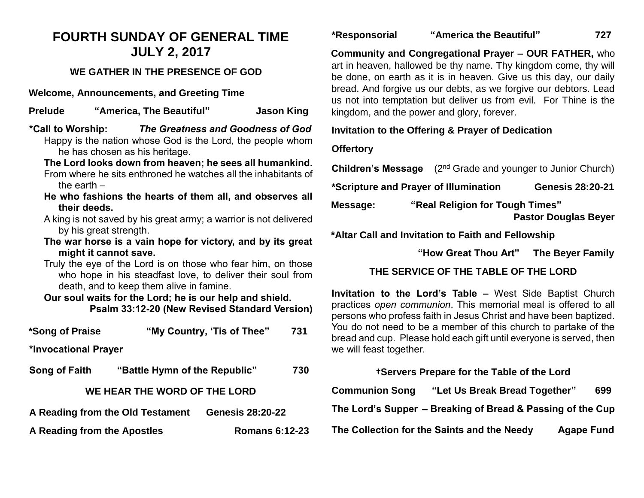# **FOURTH SUNDAY OF GENERAL TIME JULY 2, 2017**

## **WE GATHER IN THE PRESENCE OF GOD**

**Welcome, Announcements, and Greeting Time**

**Prelude "America, The Beautiful" Jason King** 

- **\*Call to Worship:** *The Greatness and Goodness of God* Happy is the nation whose God is the Lord, the people whom he has chosen as his heritage.
	- **The Lord looks down from heaven; he sees all humankind.** From where he sits enthroned he watches all the inhabitants of the earth –
	- **He who fashions the hearts of them all, and observes all their deeds.**
	- A king is not saved by his great army; a warrior is not delivered by his great strength.
	- **The war horse is a vain hope for victory, and by its great might it cannot save.**
	- Truly the eye of the Lord is on those who fear him, on those who hope in his steadfast love, to deliver their soul from death, and to keep them alive in famine.

**Our soul waits for the Lord; he is our help and shield. Psalm 33:12-20 (New Revised Standard Version)**

| *Song of Praise                  |                               | "My Country, 'Tis of Thee" | 731 |  |
|----------------------------------|-------------------------------|----------------------------|-----|--|
| *Invocational Prayer             |                               |                            |     |  |
| Song of Faith                    | "Battle Hymn of the Republic" |                            | 730 |  |
| WE HEAR THE WORD OF THE LORD     |                               |                            |     |  |
| A Reading from the Old Testament |                               | <b>Genesis 28:20-22</b>    |     |  |

**A Reading from the Apostles Romans 6:12-23**

**\*Responsorial "America the Beautiful" 727**

**Community and Congregational Prayer – OUR FATHER,** who art in heaven, hallowed be thy name. Thy kingdom come, thy will be done, on earth as it is in heaven. Give us this day, our daily bread. And forgive us our debts, as we forgive our debtors. Lead us not into temptation but deliver us from evil. For Thine is the kingdom, and the power and glory, forever.

### **Invitation to the Offering & Prayer of Dedication**

### **Offertory**

**Children's Message** (2<sup>nd</sup> Grade and younger to Junior Church)

**\*Scripture and Prayer of Illumination Genesis 28:20-21** 

**Message: "Real Religion for Tough Times" Pastor Douglas Beyer**

**\*Altar Call and Invitation to Faith and Fellowship**

 **"How Great Thou Art" The Beyer Family**

## **THE SERVICE OF THE TABLE OF THE LORD**

**Invitation to the Lord's Table –** West Side Baptist Church practices *open communion*. This memorial meal is offered to all persons who profess faith in Jesus Christ and have been baptized. You do not need to be a member of this church to partake of the bread and cup. Please hold each gift until everyone is served, then we will feast together.

#### **†Servers Prepare for the Table of the Lord**

| <b>Communion Song</b> | "Let Us Break Bread Together"                              | 699               |  |
|-----------------------|------------------------------------------------------------|-------------------|--|
|                       | The Lord's Supper – Breaking of Bread & Passing of the Cup |                   |  |
|                       | The Collection for the Saints and the Needy                | <b>Agape Fund</b> |  |